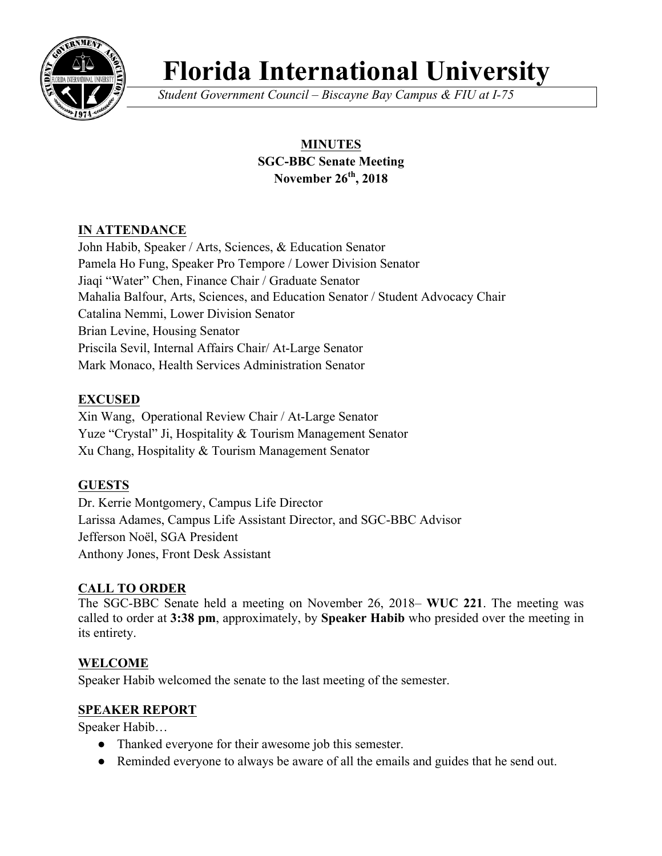

# **Florida International University**

*Student Government Council – Biscayne Bay Campus & FIU at I-75*

## **MINUTES SGC-BBC Senate Meeting November 26th, 2018**

## **IN ATTENDANCE**

John Habib, Speaker / Arts, Sciences, & Education Senator Pamela Ho Fung, Speaker Pro Tempore / Lower Division Senator Jiaqi "Water" Chen, Finance Chair / Graduate Senator Mahalia Balfour, Arts, Sciences, and Education Senator / Student Advocacy Chair Catalina Nemmi, Lower Division Senator Brian Levine, Housing Senator Priscila Sevil, Internal Affairs Chair/ At-Large Senator Mark Monaco, Health Services Administration Senator

## **EXCUSED**

Xin Wang, Operational Review Chair / At-Large Senator Yuze "Crystal" Ji, Hospitality & Tourism Management Senator Xu Chang, Hospitality & Tourism Management Senator

## **GUESTS**

Dr. Kerrie Montgomery, Campus Life Director Larissa Adames, Campus Life Assistant Director, and SGC-BBC Advisor Jefferson Noël, SGA President Anthony Jones, Front Desk Assistant

## **CALL TO ORDER**

The SGC-BBC Senate held a meeting on November 26, 2018– **WUC 221**. The meeting was called to order at **3:38 pm**, approximately, by **Speaker Habib** who presided over the meeting in its entirety.

## **WELCOME**

Speaker Habib welcomed the senate to the last meeting of the semester.

## **SPEAKER REPORT**

Speaker Habib…

- Thanked everyone for their awesome job this semester.
- Reminded everyone to always be aware of all the emails and guides that he send out.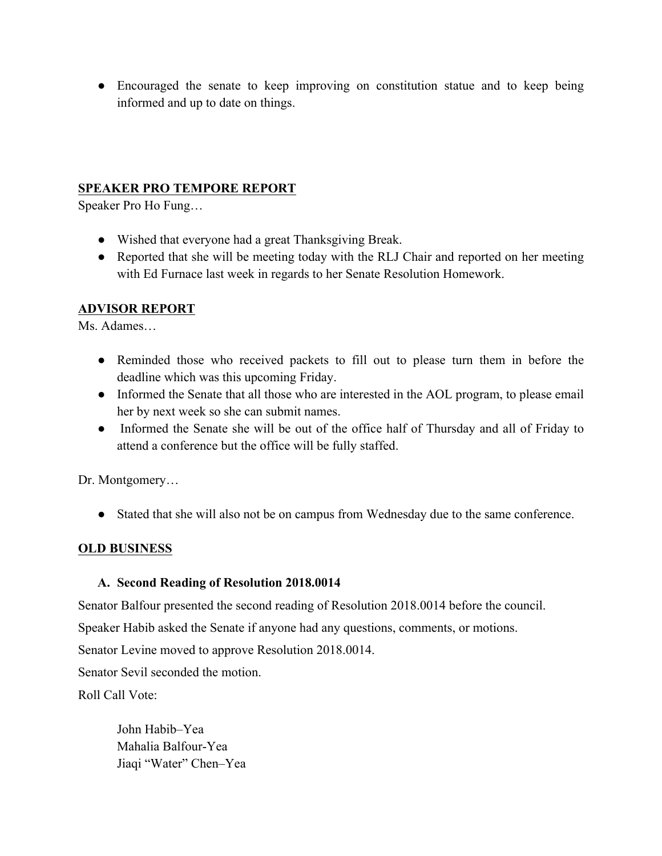• Encouraged the senate to keep improving on constitution statue and to keep being informed and up to date on things.

## **SPEAKER PRO TEMPORE REPORT**

Speaker Pro Ho Fung…

- Wished that everyone had a great Thanksgiving Break.
- Reported that she will be meeting today with the RLJ Chair and reported on her meeting with Ed Furnace last week in regards to her Senate Resolution Homework.

## **ADVISOR REPORT**

Ms. Adames…

- Reminded those who received packets to fill out to please turn them in before the deadline which was this upcoming Friday.
- Informed the Senate that all those who are interested in the AOL program, to please email her by next week so she can submit names.
- Informed the Senate she will be out of the office half of Thursday and all of Friday to attend a conference but the office will be fully staffed.

Dr. Montgomery…

● Stated that she will also not be on campus from Wednesday due to the same conference.

#### **OLD BUSINESS**

#### **A. Second Reading of Resolution 2018.0014**

Senator Balfour presented the second reading of Resolution 2018.0014 before the council.

Speaker Habib asked the Senate if anyone had any questions, comments, or motions.

Senator Levine moved to approve Resolution 2018.0014.

Senator Sevil seconded the motion.

Roll Call Vote:

John Habib–Yea Mahalia Balfour-Yea Jiaqi "Water" Chen–Yea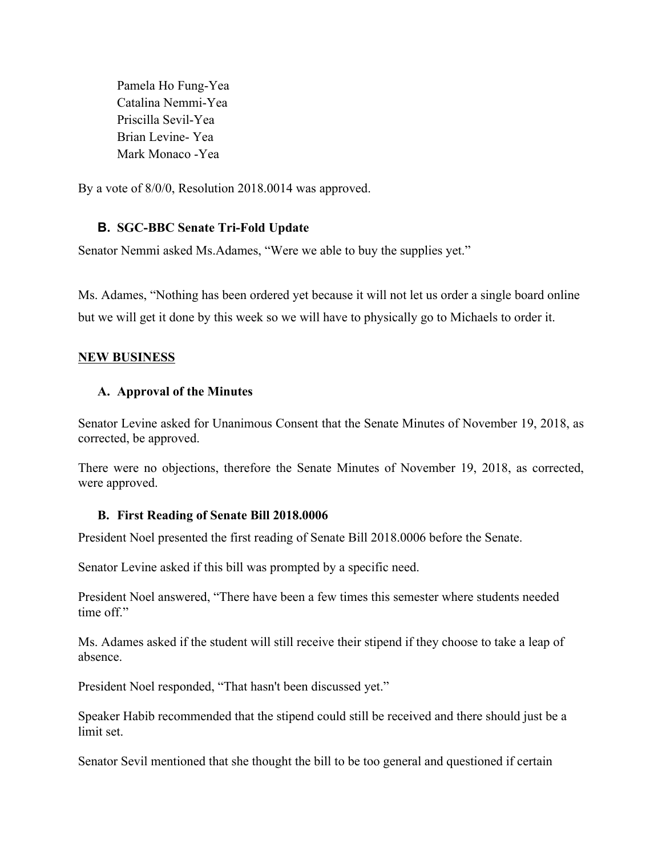Pamela Ho Fung-Yea Catalina Nemmi-Yea Priscilla Sevil-Yea Brian Levine- Yea Mark Monaco -Yea

By a vote of 8/0/0, Resolution 2018.0014 was approved.

#### **B. SGC-BBC Senate Tri-Fold Update**

Senator Nemmi asked Ms.Adames, "Were we able to buy the supplies yet."

Ms. Adames, "Nothing has been ordered yet because it will not let us order a single board online but we will get it done by this week so we will have to physically go to Michaels to order it.

#### **NEW BUSINESS**

#### **A. Approval of the Minutes**

Senator Levine asked for Unanimous Consent that the Senate Minutes of November 19, 2018, as corrected, be approved.

There were no objections, therefore the Senate Minutes of November 19, 2018, as corrected, were approved.

#### **B. First Reading of Senate Bill 2018.0006**

President Noel presented the first reading of Senate Bill 2018.0006 before the Senate.

Senator Levine asked if this bill was prompted by a specific need.

President Noel answered, "There have been a few times this semester where students needed time off"

Ms. Adames asked if the student will still receive their stipend if they choose to take a leap of absence.

President Noel responded, "That hasn't been discussed yet."

Speaker Habib recommended that the stipend could still be received and there should just be a limit set.

Senator Sevil mentioned that she thought the bill to be too general and questioned if certain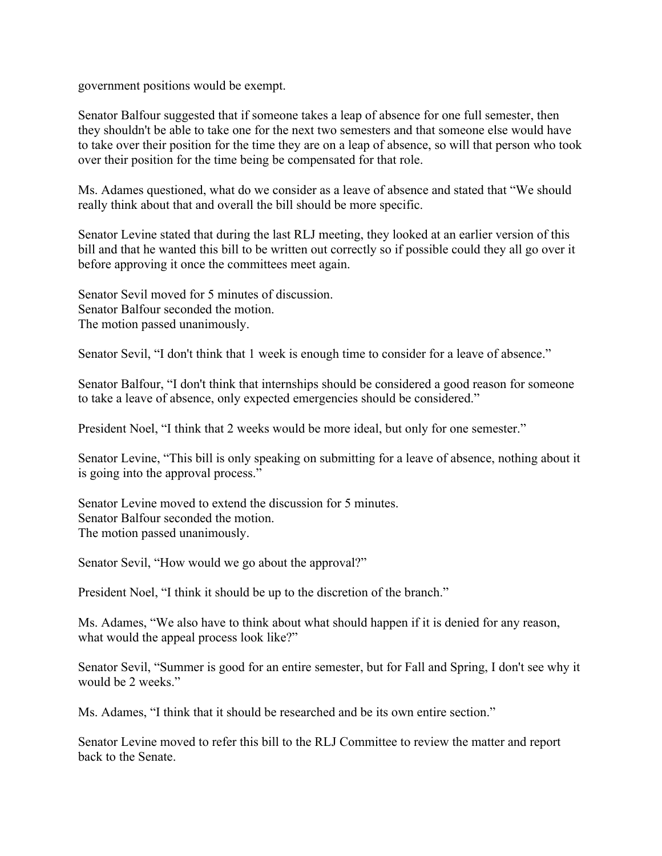government positions would be exempt.

Senator Balfour suggested that if someone takes a leap of absence for one full semester, then they shouldn't be able to take one for the next two semesters and that someone else would have to take over their position for the time they are on a leap of absence, so will that person who took over their position for the time being be compensated for that role.

Ms. Adames questioned, what do we consider as a leave of absence and stated that "We should really think about that and overall the bill should be more specific.

Senator Levine stated that during the last RLJ meeting, they looked at an earlier version of this bill and that he wanted this bill to be written out correctly so if possible could they all go over it before approving it once the committees meet again.

Senator Sevil moved for 5 minutes of discussion. Senator Balfour seconded the motion. The motion passed unanimously.

Senator Sevil, "I don't think that 1 week is enough time to consider for a leave of absence."

Senator Balfour, "I don't think that internships should be considered a good reason for someone to take a leave of absence, only expected emergencies should be considered."

President Noel, "I think that 2 weeks would be more ideal, but only for one semester."

Senator Levine, "This bill is only speaking on submitting for a leave of absence, nothing about it is going into the approval process."

Senator Levine moved to extend the discussion for 5 minutes. Senator Balfour seconded the motion. The motion passed unanimously.

Senator Sevil, "How would we go about the approval?"

President Noel, "I think it should be up to the discretion of the branch."

Ms. Adames, "We also have to think about what should happen if it is denied for any reason, what would the appeal process look like?"

Senator Sevil, "Summer is good for an entire semester, but for Fall and Spring, I don't see why it would be 2 weeks."

Ms. Adames, "I think that it should be researched and be its own entire section."

Senator Levine moved to refer this bill to the RLJ Committee to review the matter and report back to the Senate.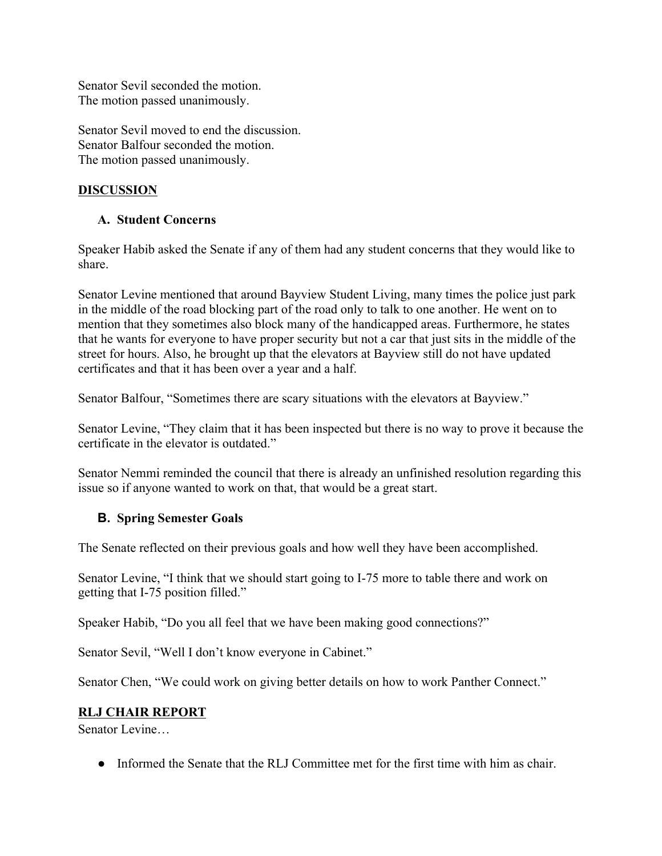Senator Sevil seconded the motion. The motion passed unanimously.

Senator Sevil moved to end the discussion. Senator Balfour seconded the motion. The motion passed unanimously.

## **DISCUSSION**

#### **A. Student Concerns**

Speaker Habib asked the Senate if any of them had any student concerns that they would like to share.

Senator Levine mentioned that around Bayview Student Living, many times the police just park in the middle of the road blocking part of the road only to talk to one another. He went on to mention that they sometimes also block many of the handicapped areas. Furthermore, he states that he wants for everyone to have proper security but not a car that just sits in the middle of the street for hours. Also, he brought up that the elevators at Bayview still do not have updated certificates and that it has been over a year and a half.

Senator Balfour, "Sometimes there are scary situations with the elevators at Bayview."

Senator Levine, "They claim that it has been inspected but there is no way to prove it because the certificate in the elevator is outdated."

Senator Nemmi reminded the council that there is already an unfinished resolution regarding this issue so if anyone wanted to work on that, that would be a great start.

#### **B. Spring Semester Goals**

The Senate reflected on their previous goals and how well they have been accomplished.

Senator Levine, "I think that we should start going to I-75 more to table there and work on getting that I-75 position filled."

Speaker Habib, "Do you all feel that we have been making good connections?"

Senator Sevil, "Well I don't know everyone in Cabinet."

Senator Chen, "We could work on giving better details on how to work Panther Connect."

#### **RLJ CHAIR REPORT**

Senator Levine…

● Informed the Senate that the RLJ Committee met for the first time with him as chair.